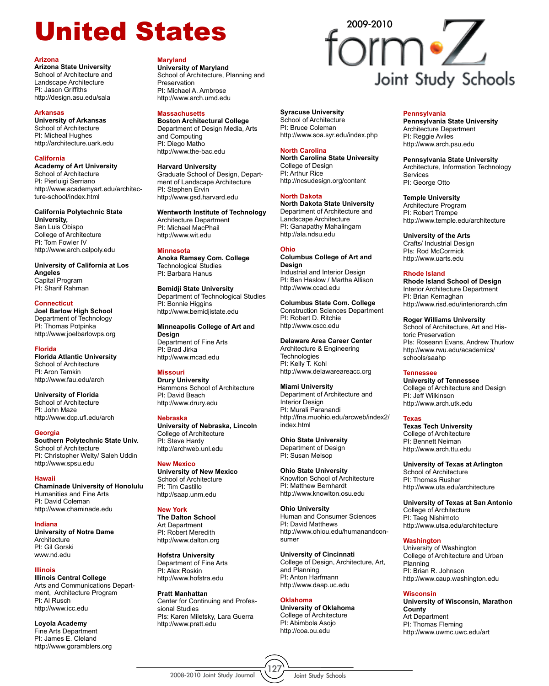## United States form of

#### **Arizona**

**Arizona State University** School of Architecture and Landscape Architecture PI: Jason Griffiths http://design.asu.edu/sala

#### **Arkansas**

**University of Arkansas** School of Architecture PI: Micheal Hughes http://architecture.uark.edu

#### **California**

**Academy of Art University** School of Architecture PI: Pierluigi Serriano http://www.academyart.edu/architecture-school/index.html

#### **California Polytechnic State**

**University,** San Luis Obispo College of Architecture PI: Tom Fowler IV http://www.arch.calpoly.edu

**University of California at Los Angeles** Capital Program PI: Sharif Rahman

#### **Connecticut**

**Joel Barlow High School** Department of Technology PI: Thomas Potpinka http://www.joelbarlowps.org

#### **Florida**

**Florida Atlantic University** School of Architecture PI: Aron Temkin http://www.fau.edu/arch

**University of Florida** School of Architecture PI: John Maze http://www.dcp.ufl.edu/arch

#### **Georgia**

**Southern Polytechnic State Univ.** School of Architecture PI: Christopher Welty/ Saleh Uddin http://www.spsu.edu

#### **Hawaii**

**Chaminade University of Honolulu** Humanities and Fine Arts PI: David Coleman http://www.chaminade.edu

**Indiana**

**University of Notre Dame Architecture** PI: Gil Gorski www.nd.edu

#### **Illinois Illinois Central College**

Arts and Communications Department, Architecture Program PI: Al Rusch http://www.icc.edu

**Loyola Academy** Fine Arts Department PI: James E. Cleland http://www.goramblers.org

#### **Maryland**

**University of Maryland** School of Architecture, Planning and Preservation PI: Michael A. Ambrose http://www.arch.umd.edu

#### **Massachusetts**

**Boston Architectural College** Department of Design Media, Arts and Computing PI: Diego Matho http://www.the-bac.edu

#### **Harvard University**

Graduate School of Design, Department of Landscape Architecture PI: Stephen Ervin http://www.gsd.harvard.edu

**Wentworth Institute of Technology** Architecture Department PI: Michael MacPhail http://www.wit.edu

#### **Minnesota**

**Anoka Ramsey Com. College** Technological Studies PI: Barbara Hanus

**Bemidji State University** Department of Technological Studies

PI: Bonnie Higgins http://www.bemidjistate.edu

**Minneapolis College of Art and Design** Department of Fine Arts PI: Brad Jirka http://www.mcad.edu

#### **Missouri**

**Drury University** Hammons School of Architecture PI: David Beach http://www.drury.edu

**Nebraska University of Nebraska, Lincoln** College of Architecture PI: Steve Hardy http://archweb.unl.edu

**New Mexico University of New Mexico** School of Architecture PI: Tim Castillo http://saap.unm.edu

#### **New York**

**The Dalton School** Art Department PI: Robert Meredith http://www.dalton.org

**Hofstra University** Department of Fine Arts PI: Alex Roskin http://www.hofstra.edu

**Pratt Manhattan** Center for Continuing and Professional Studies PIs: Karen Miletsky, Lara Guerra http://www.pratt.edu

# Joint Study Schools

#### **Syracuse University** School of Architecture

PI: Bruce Coleman http://www.soa.syr.edu/index.php

#### **North Carolina**

**North Carolina State University** College of Design PI: Arthur Rice http://ncsudesign.org/content

#### **North Dakota**

**North Dakota State University** Department of Architecture and Landscape Architecture PI: Ganapathy Mahalingam http://ala.ndsu.edu

#### **Ohio**

**Columbus College of Art and Design** Industrial and Interior Design PI: Ben Haslow / Martha Allison http://www.ccad.edu

**Columbus State Com. College** Construction Sciences Department PI: Robert D. Ritchie http://www.cscc.edu

**Delaware Area Career Center** Architecture & Engineering **Technologies** PI: Kelly T. Kohl http://www.delawareareacc.org

#### **Miami University**

Department of Architecture and Interior Design PI: Murali Paranandi http://fna.muohio.edu/arcweb/index2/ index.html

**Ohio State University**  Department of Design PI: Susan Melsop

**Ohio State University**  Knowlton School of Architecture PI: Matthew Bernhardt http://www.knowlton.osu.edu

**Ohio University** Human and Consumer Sciences PI: David Matthews http://www.ohiou.edu/humanandconsumer

**University of Cincinnati** College of Design, Architecture, Art, and Planning PI: Anton Harfmann http://www.daap.uc.edu

#### **Oklahoma**

**University of Oklahoma** College of Architecture PI: Abimbola Asojo http://coa.ou.edu

#### **Pennsylvania**

**Pennsylvania State University** Architecture Department PI: Reggie Aviles http://www.arch.psu.edu

**Pennsylvania State University** Architecture, Information Technology Services

PI: George Otto

**Temple University** Architecture Program PI: Robert Trempe http://www.temple.edu/architecture

#### **University of the Arts**

Crafts/ Industrial Design PIs: Rod McCormick http://www.uarts.edu

#### **Rhode Island**

**Rhode Island School of Design**  Interior Architecture Department PI: Brian Kernaghan http://www.risd.edu/interiorarch.cfm

**Roger Williams University**

School of Architecture, Art and Historic Preservation PIs: Roseann Evans, Andrew Thurlow http://www.rwu.edu/academics/ schools/saahp

#### **Tennessee**

**University of Tennessee** College of Architecture and Design PI: Jeff Wilkinson http://www.arch.utk.edu

#### **Texas**

**Texas Tech University** College of Architecture PI: Bennett Neiman http://www.arch.ttu.edu

#### **University of Texas at Arlington** School of Architecture PI: Thomas Rusher

http://www.uta.edu/architecture

**University of Texas at San Antonio** College of Architecture PI: Taeg Nishimoto http://www.utsa.edu/architecture

#### **Washington**

University of Washington College of Architecture and Urban Planning PI: Brian R. Johnson http://www.caup.washington.edu

#### **Wisconsin**

**University of Wisconsin, Marathon County** Art Department PI: Thomas Fleming http://www.uwmc.uwc.edu/art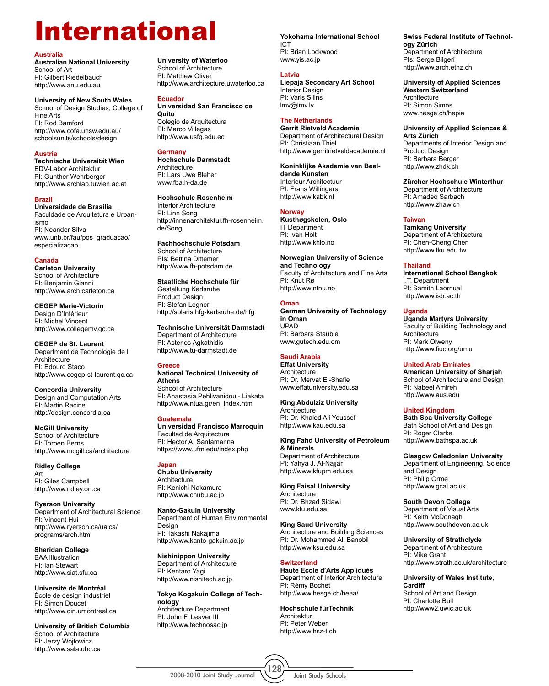### International **Yokohama International School**

#### **Australia**

**Australian National University** School of Art PI: Gilbert Riedelbauch http://www.anu.edu.au

**University of New South Wales** School of Design Studies, College of Fine Arts PI: Rod Bamford http://www.cofa.unsw.edu.au/ schoolsunits/schools/design

#### **Austria**

**Technische Universität Wien** EDV-Labor Architektur PI: Gunther Wehrberger http://www.archlab.tuwien.ac.at

#### **Brazil**

**Universidade de Brasilia** Faculdade de Arquitetura e Urbanismo PI: Neander Silva www.unb.br/fau/pos\_graduacao/ especializacao

#### **Canada**

**Carleton University**  School of Architecture PI: Benjamin Gianni http://www.arch.carleton.ca

**CEGEP Marie-Victorin**  Design D'Intérieur PI: Michel Vincent http://www.collegemv.qc.ca

**CEGEP de St. Laurent**  Department de Technologie de l' **Architecture** PI: Edourd Staco http://www.cegep-st-laurent.qc.ca

**Concordia University**  Design and Computation Arts PI: Martin Racine http://design.concordia.ca

**McGill University**  School of Architecture PI: Torben Berns http://www.mcgill.ca/architecture

**Ridley College** Art PI: Giles Campbell http://www.ridley.on.ca

**Ryerson University** Department of Architectural Science PI: Vincent Hui http://www.ryerson.ca/ualca/ programs/arch.html

**Sheridan College** BAA Illustration PI: Ian Stewart http://www.siat.sfu.ca

**Université de Montréal**  École de design industriel PI: Simon Doucet http://www.din.umontreal.ca

**University of British Columbia**  School of Architecture PI: Jerzy Wojtowicz http://www.sala.ubc.ca

**University of Waterloo**  School of Architecture PI: Matthew Oliver http://www.architecture.uwaterloo.ca

#### **Ecuador**

**Universidad San Francisco de Quito**  Colegio de Arquitectura PI: Marco Villegas http://www.usfq.edu.ec

#### **Germany**

**Hochschule Darmstadt Architecture** PI: Lars Uwe Bleher www.fba.h-da.de

**Hochschule Rosenheim** Interior Architecture PI: Linn Song http://innenarchitektur.fh-rosenheim. de/Song

**Fachhochschule Potsdam** School of Architecture PIs: Bettina Dittemer http://www.fh-potsdam.de

**Staatliche Hochschule für** Gestaltung Karlsruhe Product Design PI: Stefan Legner http://solaris.hfg-karlsruhe.de/hfg

**Technische Universität Darmstadt**  Department of Architecture PI: Asterios Agkathidis http://www.tu-darmstadt.de

#### **Greece**

**National Technical University of Athens** School of Architecture PI: Anastasia Pehlivanidou - Liakata http://www.ntua.gr/en\_index.htm

#### **Guatemala**

**Universidad Francisco Marroquin** Facultad de Arquitectura PI: Hector A. Santamarina https://www.ufm.edu/index.php

#### **Japan**

**Chubu University** Architecture PI: Kenichi Nakamura http://www.chubu.ac.jp

**Kanto-Gakuin University** Department of Human Environmental **Design** PI: Takashi Nakajima http://www.kanto-gakuin.ac.jp

**Nishinippon University** Department of Architecture PI: Kentaro Yagi http://www.nishitech.ac.jp

**Tokyo Kogakuin College of Technology** Architecture Department PI: John F. Leaver III http://www.technosac.jp

ICT PI: Brian Lockwood www.yis.ac.jp

#### **Latvia**

**Liepaja Secondary Art School** Interior Design PI: Varis Silins lmv@lmv.lv

#### **The Netherlands**

**Gerrit Rietveld Academie** Department of Architectural Design PI: Christiaan Thiel http://www.gerritrietveldacademie.nl

**Koninklijke Akademie van Beeldende Kunsten** 

Interieur Architectuur PI: Frans Willingers http://www.kabk.nl

#### **Norway**

**Kusthøgskolen, Oslo**  IT Department PI: Ivan Holt http://www.khio.no

**Norwegian University of Science and Technology** Faculty of Architecture and Fine Arts PI: Knut Rø http://www.ntnu.no

**Oman German University of Technology in Oman** UPAD PI: Barbara Stauble www.gutech.edu.om

#### **Saudi Arabia Effat University**

**Architecture** PI: Dr. Mervat El-Shafie www.effatuniversity.edu.sa

**King Abdulziz University Architecture** PI: Dr. Khaled Ali Youssef http://www.kau.edu.sa

**King Fahd University of Petroleum & Minerals** Department of Architecture PI: Yahya J. Al-Najjar http://www.kfupm.edu.sa

**King Faisal University** Architecture PI: Dr. Bhzad Sidawi www.kfu.edu.sa

**King Saud University** Architecture and Building Sciences PI: Dr. Mohammed Ali Banobil http://www.ksu.edu.sa

#### **Switzerland**

**Haute Ecole d'Arts Appliqués** Department of Interior Architecture PI: Rémy Bochet http://www.hesge.ch/heaa/

**Hochschule fürTechnik** Architektur PI: Peter Weber http://www.hsz-t.ch

**Swiss Federal Institute of Technology Zürich**  Department of Architecture PIs: Serge Bilgeri http://www.arch.ethz.ch

**University of Applied Sciences Western Switzerland Architecture** PI: Simon Simos www.hesge.ch/hepia

**University of Applied Sciences & Arts Zürich** 

Departments of Interior Design and Product Design PI: Barbara Berger http://www.zhdk.ch

**Zürcher Hochschule Winterthur** 

Department of Architecture PI: Amadeo Sarbach http://www.zhaw.ch

#### **Taiwan**

**Tamkang University** Department of Architecture PI: Chen-Cheng Chen http://www.tku.edu.tw

#### **Thailand**

**International School Bangkok**  I.T. Department PI: Samith Laornual http://www.isb.ac.th

#### **Uganda**

**Uganda Martyrs University**  Faculty of Building Technology and Architecture PI: Mark Olweny http://www.fiuc.org/umu

#### **United Arab Emirates**

**American University of Sharjah**  School of Architecture and Design PI: Nabeel Amireh http://www.aus.edu

#### **United Kingdom**

**Bath Spa University College**  Bath School of Art and Design PI: Roger Clarke http://www.bathspa.ac.uk

**Glasgow Caledonian University**  Department of Engineering, Science and Design PI: Philip Orme http://www.gcal.ac.uk

**South Devon College**  Department of Visual Arts PI: Keith McDonagh http://www.southdevon.ac.uk

**University of Strathclyde**  Department of Architecture PI: Mike Grant http://www.strath.ac.uk/architecture

**University of Wales Institute, Cardiff**  School of Art and Design PI: Charlotte Bull http://www2.uwic.ac.uk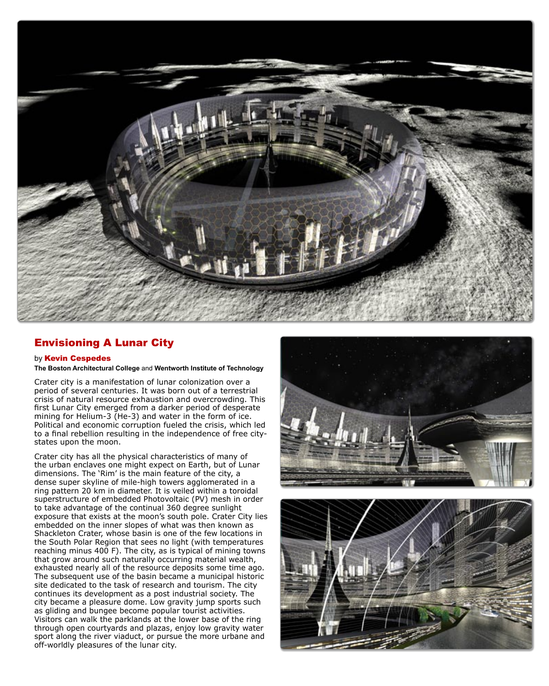

#### Envisioning A Lunar City

#### by Kevin Cespedes

#### **The Boston Architectural College** and **Wentworth Institute of Technology**

Crater city is a manifestation of lunar colonization over a period of several centuries. It was born out of a terrestrial crisis of natural resource exhaustion and overcrowding. This first Lunar City emerged from a darker period of desperate mining for Helium-3 (He-3) and water in the form of ice. Political and economic corruption fueled the crisis, which led to a final rebellion resulting in the independence of free citystates upon the moon.

Crater city has all the physical characteristics of many of the urban enclaves one might expect on Earth, but of Lunar dimensions. The 'Rim' is the main feature of the city, a dense super skyline of mile-high towers agglomerated in a ring pattern 20 km in diameter. It is veiled within a toroidal superstructure of embedded Photovoltaic (PV) mesh in order to take advantage of the continual 360 degree sunlight exposure that exists at the moon's south pole. Crater City lies embedded on the inner slopes of what was then known as Shackleton Crater, whose basin is one of the few locations in the South Polar Region that sees no light (with temperatures reaching minus 400 F). The city, as is typical of mining towns that grow around such naturally occurring material wealth, exhausted nearly all of the resource deposits some time ago. The subsequent use of the basin became a municipal historic site dedicated to the task of research and tourism. The city continues its development as a post industrial society. The city became a pleasure dome. Low gravity jump sports such as gliding and bungee become popular tourist activities. Visitors can walk the parklands at the lower base of the ring through open courtyards and plazas, enjoy low gravity water sport along the river viaduct, or pursue the more urbane and off-worldly pleasures of the lunar city.